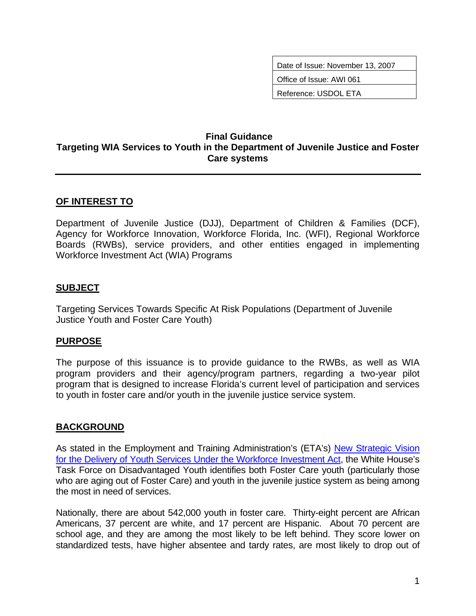Date of Issue: November 13, 2007

Office of Issue: AWI 061

Reference: USDOL ETA

#### **Final Guidance Targeting WIA Services to Youth in the Department of Juvenile Justice and Foster Care systems**

# **OF INTEREST TO**

Department of Juvenile Justice (DJJ), Department of Children & Families (DCF), Agency for Workforce Innovation, Workforce Florida, Inc. (WFI), Regional Workforce Boards (RWBs), service providers, and other entities engaged in implementing Workforce Investment Act (WIA) Programs

## **SUBJECT**

Targeting Services Towards Specific At Risk Populations (Department of Juvenile Justice Youth and Foster Care Youth)

#### **PURPOSE**

The purpose of this issuance is to provide guidance to the RWBs, as well as WIA program providers and their agency/program partners, regarding a two-year pilot program that is designed to increase Florida's current level of participation and services to youth in foster care and/or youth in the juvenile justice service system.

#### **BACKGROUND**

As stated in the Employment and Training Administration's (ETA's) New Strategic Vision [for the Delivery of Youth Services Under the Workforce Investment Act](http://wdr.doleta.gov/directives/attach/TEGL3-04.pdf), the White House's Task Force on Disadvantaged Youth identifies both Foster Care youth (particularly those who are aging out of Foster Care) and youth in the juvenile justice system as being among the most in need of services.

Nationally, there are about 542,000 youth in foster care. Thirty-eight percent are African Americans, 37 percent are white, and 17 percent are Hispanic. About 70 percent are school age, and they are among the most likely to be left behind. They score lower on standardized tests, have higher absentee and tardy rates, are most likely to drop out of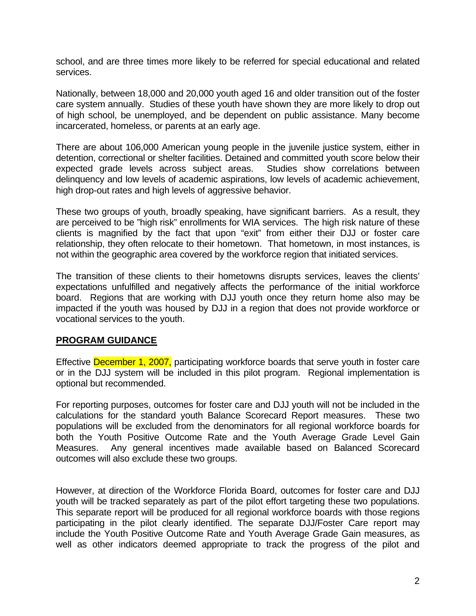school, and are three times more likely to be referred for special educational and related services.

Nationally, between 18,000 and 20,000 youth aged 16 and older transition out of the foster care system annually. Studies of these youth have shown they are more likely to drop out of high school, be unemployed, and be dependent on public assistance. Many become incarcerated, homeless, or parents at an early age.

There are about 106,000 American young people in the juvenile justice system, either in detention, correctional or shelter facilities. Detained and committed youth score below their expected grade levels across subject areas. Studies show correlations between delinquency and low levels of academic aspirations, low levels of academic achievement, high drop-out rates and high levels of aggressive behavior.

These two groups of youth, broadly speaking, have significant barriers. As a result, they are perceived to be "high risk" enrollments for WIA services. The high risk nature of these clients is magnified by the fact that upon "exit" from either their DJJ or foster care relationship, they often relocate to their hometown. That hometown, in most instances, is not within the geographic area covered by the workforce region that initiated services.

The transition of these clients to their hometowns disrupts services, leaves the clients' expectations unfulfilled and negatively affects the performance of the initial workforce board. Regions that are working with DJJ youth once they return home also may be impacted if the youth was housed by DJJ in a region that does not provide workforce or vocational services to the youth.

#### **PROGRAM GUIDANCE**

Effective December 1, 2007, participating workforce boards that serve youth in foster care or in the DJJ system will be included in this pilot program. Regional implementation is optional but recommended.

For reporting purposes, outcomes for foster care and DJJ youth will not be included in the calculations for the standard youth Balance Scorecard Report measures. These two populations will be excluded from the denominators for all regional workforce boards for both the Youth Positive Outcome Rate and the Youth Average Grade Level Gain Measures. Any general incentives made available based on Balanced Scorecard outcomes will also exclude these two groups.

However, at direction of the Workforce Florida Board, outcomes for foster care and DJJ youth will be tracked separately as part of the pilot effort targeting these two populations. This separate report will be produced for all regional workforce boards with those regions participating in the pilot clearly identified. The separate DJJ/Foster Care report may include the Youth Positive Outcome Rate and Youth Average Grade Gain measures, as well as other indicators deemed appropriate to track the progress of the pilot and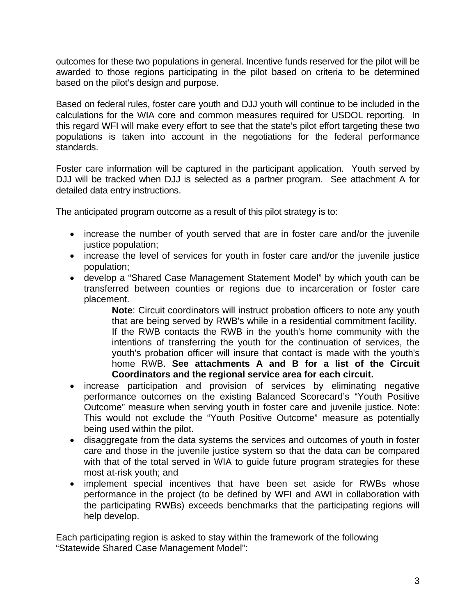outcomes for these two populations in general. Incentive funds reserved for the pilot will be awarded to those regions participating in the pilot based on criteria to be determined based on the pilot's design and purpose.

Based on federal rules, foster care youth and DJJ youth will continue to be included in the calculations for the WIA core and common measures required for USDOL reporting. In this regard WFI will make every effort to see that the state's pilot effort targeting these two populations is taken into account in the negotiations for the federal performance standards.

Foster care information will be captured in the participant application. Youth served by DJJ will be tracked when DJJ is selected as a partner program. See attachment A for detailed data entry instructions.

The anticipated program outcome as a result of this pilot strategy is to:

- increase the number of youth served that are in foster care and/or the juvenile justice population;
- increase the level of services for youth in foster care and/or the juvenile justice population;
- develop a "Shared Case Management Statement Model" by which youth can be transferred between counties or regions due to incarceration or foster care placement.

**Note**: Circuit coordinators will instruct probation officers to note any youth that are being served by RWB's while in a residential commitment facility. If the RWB contacts the RWB in the youth's home community with the intentions of transferring the youth for the continuation of services, the youth's probation officer will insure that contact is made with the youth's home RWB. **See attachments A and B for a list of the Circuit Coordinators and the regional service area for each circuit.** 

- increase participation and provision of services by eliminating negative performance outcomes on the existing Balanced Scorecard's "Youth Positive Outcome" measure when serving youth in foster care and juvenile justice. Note: This would not exclude the "Youth Positive Outcome" measure as potentially being used within the pilot.
- disaggregate from the data systems the services and outcomes of youth in foster care and those in the juvenile justice system so that the data can be compared with that of the total served in WIA to guide future program strategies for these most at-risk youth; and
- implement special incentives that have been set aside for RWBs whose performance in the project (to be defined by WFI and AWI in collaboration with the participating RWBs) exceeds benchmarks that the participating regions will help develop.

Each participating region is asked to stay within the framework of the following "Statewide Shared Case Management Model":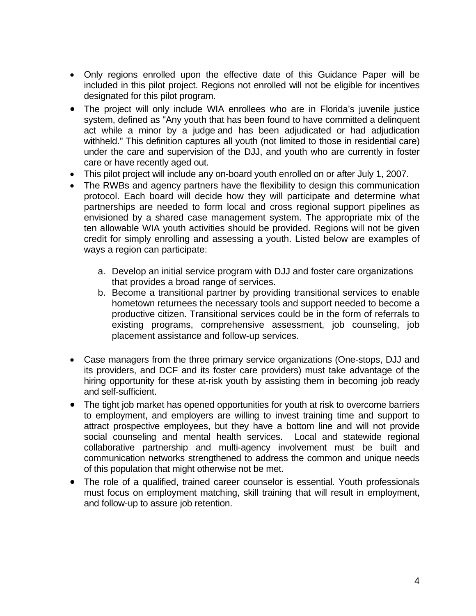- Only regions enrolled upon the effective date of this Guidance Paper will be included in this pilot project. Regions not enrolled will not be eligible for incentives designated for this pilot program.
- The project will only include WIA enrollees who are in Florida's juvenile justice system, defined as "Any youth that has been found to have committed a delinquent act while a minor by a judge and has been adjudicated or had adjudication withheld." This definition captures all youth (not limited to those in residential care) under the care and supervision of the DJJ, and youth who are currently in foster care or have recently aged out.
- This pilot project will include any on-board youth enrolled on or after July 1, 2007.
- The RWBs and agency partners have the flexibility to design this communication protocol. Each board will decide how they will participate and determine what partnerships are needed to form local and cross regional support pipelines as envisioned by a shared case management system. The appropriate mix of the ten allowable WIA youth activities should be provided. Regions will not be given credit for simply enrolling and assessing a youth. Listed below are examples of ways a region can participate:
	- a. Develop an initial service program with DJJ and foster care organizations that provides a broad range of services.
	- b. Become a transitional partner by providing transitional services to enable hometown returnees the necessary tools and support needed to become a productive citizen. Transitional services could be in the form of referrals to existing programs, comprehensive assessment, job counseling, job placement assistance and follow-up services.
- Case managers from the three primary service organizations (One-stops, DJJ and its providers, and DCF and its foster care providers) must take advantage of the hiring opportunity for these at-risk youth by assisting them in becoming job ready and self-sufficient.
- The tight job market has opened opportunities for youth at risk to overcome barriers to employment, and employers are willing to invest training time and support to attract prospective employees, but they have a bottom line and will not provide social counseling and mental health services. Local and statewide regional collaborative partnership and multi-agency involvement must be built and communication networks strengthened to address the common and unique needs of this population that might otherwise not be met.
- The role of a qualified, trained career counselor is essential. Youth professionals must focus on employment matching, skill training that will result in employment, and follow-up to assure job retention.